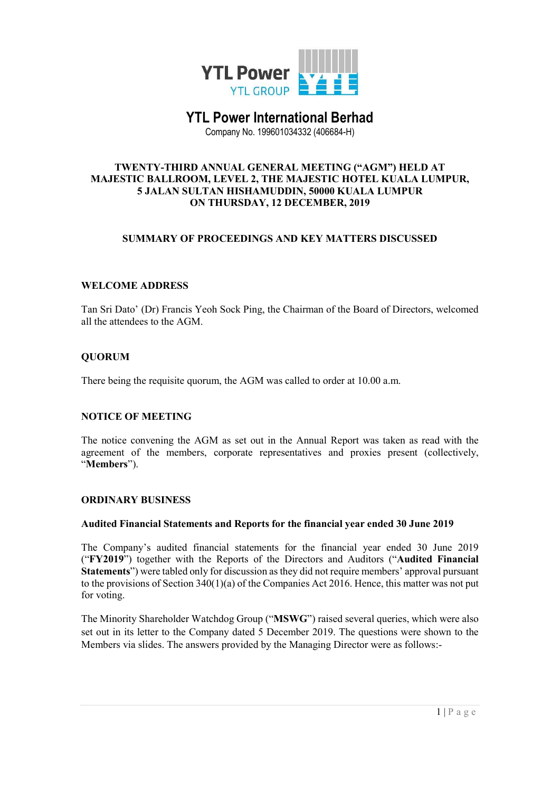

YTL Power International Berhad

Company No. 199601034332 (406684-H)

### TWENTY-THIRD ANNUAL GENERAL MEETING ("AGM") HELD AT MAJESTIC BALLROOM, LEVEL 2, THE MAJESTIC HOTEL KUALA LUMPUR, 5 JALAN SULTAN HISHAMUDDIN, 50000 KUALA LUMPUR ON THURSDAY, 12 DECEMBER, 2019

# SUMMARY OF PROCEEDINGS AND KEY MATTERS DISCUSSED

# WELCOME ADDRESS

Tan Sri Dato' (Dr) Francis Yeoh Sock Ping, the Chairman of the Board of Directors, welcomed all the attendees to the AGM.

# **OUORUM**

There being the requisite quorum, the AGM was called to order at 10.00 a.m.

# NOTICE OF MEETING

The notice convening the AGM as set out in the Annual Report was taken as read with the agreement of the members, corporate representatives and proxies present (collectively, "Members").

# ORDINARY BUSINESS

### Audited Financial Statements and Reports for the financial year ended 30 June 2019

The Company's audited financial statements for the financial year ended 30 June 2019 ("FY2019") together with the Reports of the Directors and Auditors ("Audited Financial Statements") were tabled only for discussion as they did not require members' approval pursuant to the provisions of Section  $340(1)(a)$  of the Companies Act 2016. Hence, this matter was not put for voting.

The Minority Shareholder Watchdog Group ("MSWG") raised several queries, which were also set out in its letter to the Company dated 5 December 2019. The questions were shown to the Members via slides. The answers provided by the Managing Director were as follows:-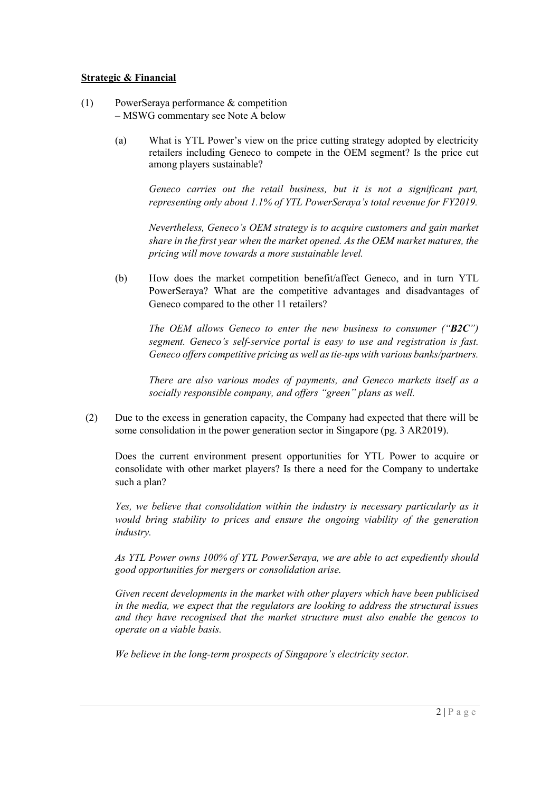## Strategic & Financial

- (1) PowerSeraya performance & competition – MSWG commentary see Note A below
	- (a) What is YTL Power's view on the price cutting strategy adopted by electricity retailers including Geneco to compete in the OEM segment? Is the price cut among players sustainable?

Geneco carries out the retail business, but it is not a significant part, representing only about 1.1% of YTL PowerSeraya's total revenue for FY2019.

 Nevertheless, Geneco's OEM strategy is to acquire customers and gain market share in the first year when the market opened. As the OEM market matures, the pricing will move towards a more sustainable level.

(b) How does the market competition benefit/affect Geneco, and in turn YTL PowerSeraya? What are the competitive advantages and disadvantages of Geneco compared to the other 11 retailers?

The OEM allows Geneco to enter the new business to consumer (" $B2C$ ") segment. Geneco's self-service portal is easy to use and registration is fast. Geneco offers competitive pricing as well as tie-ups with various banks/partners.

 There are also various modes of payments, and Geneco markets itself as a socially responsible company, and offers "green" plans as well.

(2) Due to the excess in generation capacity, the Company had expected that there will be some consolidation in the power generation sector in Singapore (pg. 3 AR2019).

 Does the current environment present opportunities for YTL Power to acquire or consolidate with other market players? Is there a need for the Company to undertake such a plan?

Yes, we believe that consolidation within the industry is necessary particularly as it would bring stability to prices and ensure the ongoing viability of the generation industry.

 As YTL Power owns 100% of YTL PowerSeraya, we are able to act expediently should good opportunities for mergers or consolidation arise.

Given recent developments in the market with other players which have been publicised in the media, we expect that the regulators are looking to address the structural issues and they have recognised that the market structure must also enable the gencos to operate on a viable basis.

We believe in the long-term prospects of Singapore's electricity sector.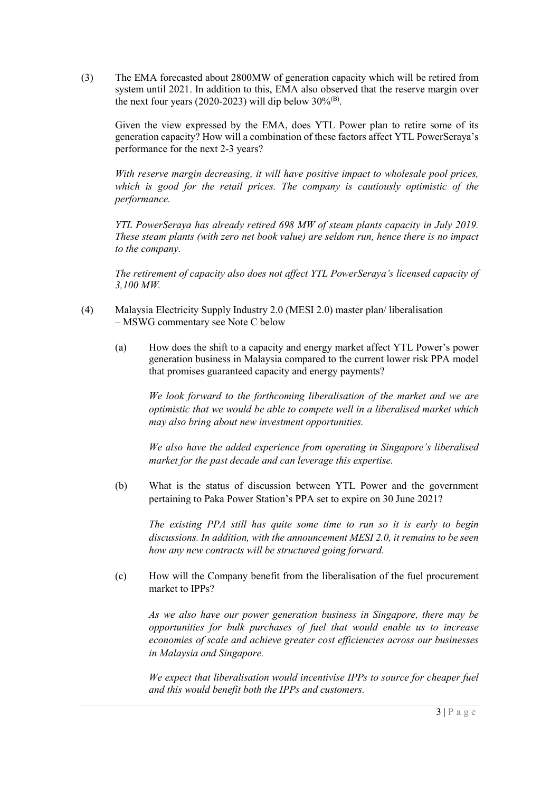(3) The EMA forecasted about 2800MW of generation capacity which will be retired from system until 2021. In addition to this, EMA also observed that the reserve margin over the next four years (2020-2023) will dip below  $30\%^{\text{(B)}}$ .

Given the view expressed by the EMA, does YTL Power plan to retire some of its generation capacity? How will a combination of these factors affect YTL PowerSeraya's performance for the next 2-3 years?

With reserve margin decreasing, it will have positive impact to wholesale pool prices, which is good for the retail prices. The company is cautiously optimistic of the performance.

YTL PowerSeraya has already retired 698 MW of steam plants capacity in July 2019. These steam plants (with zero net book value) are seldom run, hence there is no impact to the company.

The retirement of capacity also does not affect YTL PowerSeraya's licensed capacity of 3,100 MW.

- (4) Malaysia Electricity Supply Industry 2.0 (MESI 2.0) master plan/ liberalisation – MSWG commentary see Note C below
	- (a) How does the shift to a capacity and energy market affect YTL Power's power generation business in Malaysia compared to the current lower risk PPA model that promises guaranteed capacity and energy payments?

We look forward to the forthcoming liberalisation of the market and we are optimistic that we would be able to compete well in a liberalised market which may also bring about new investment opportunities.

 We also have the added experience from operating in Singapore's liberalised market for the past decade and can leverage this expertise.

(b) What is the status of discussion between YTL Power and the government pertaining to Paka Power Station's PPA set to expire on 30 June 2021?

The existing PPA still has quite some time to run so it is early to begin discussions. In addition, with the announcement MESI 2.0, it remains to be seen how any new contracts will be structured going forward.

(c) How will the Company benefit from the liberalisation of the fuel procurement market to IPPs?

As we also have our power generation business in Singapore, there may be opportunities for bulk purchases of fuel that would enable us to increase economies of scale and achieve greater cost efficiencies across our businesses in Malaysia and Singapore.

We expect that liberalisation would incentivise IPPs to source for cheaper fuel and this would benefit both the IPPs and customers.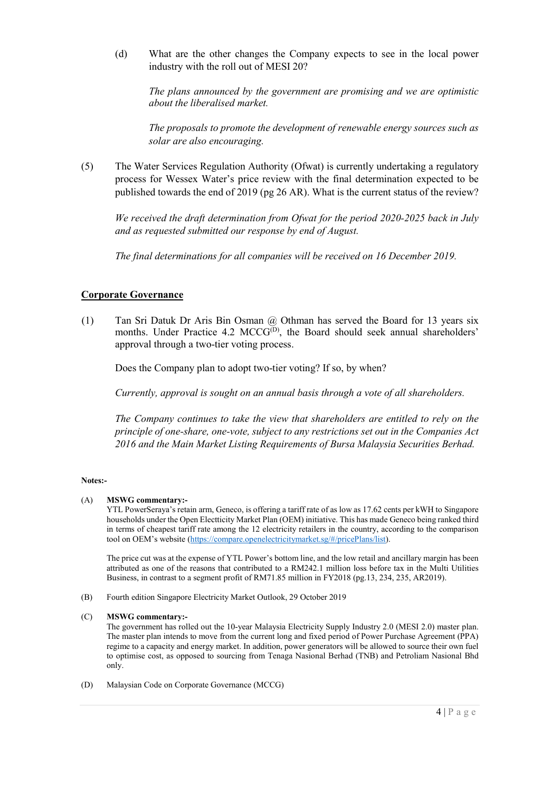(d) What are the other changes the Company expects to see in the local power industry with the roll out of MESI 20?

The plans announced by the government are promising and we are optimistic about the liberalised market.

The proposals to promote the development of renewable energy sources such as solar are also encouraging.

(5) The Water Services Regulation Authority (Ofwat) is currently undertaking a regulatory process for Wessex Water's price review with the final determination expected to be published towards the end of 2019 (pg 26 AR). What is the current status of the review?

We received the draft determination from Ofwat for the period 2020-2025 back in July and as requested submitted our response by end of August.

The final determinations for all companies will be received on 16 December 2019.

# Corporate Governance

(1) Tan Sri Datuk Dr Aris Bin Osman @ Othman has served the Board for 13 years six months. Under Practice 4.2  $MCCG^{(D)}$ , the Board should seek annual shareholders' approval through a two-tier voting process.

Does the Company plan to adopt two-tier voting? If so, by when?

Currently, approval is sought on an annual basis through a vote of all shareholders.

The Company continues to take the view that shareholders are entitled to rely on the principle of one-share, one-vote, subject to any restrictions set out in the Companies Act 2016 and the Main Market Listing Requirements of Bursa Malaysia Securities Berhad.

#### Notes:-

#### (A) MSWG commentary:-

 YTL PowerSeraya's retain arm, Geneco, is offering a tariff rate of as low as 17.62 cents per kWH to Singapore households under the Open Electticity Market Plan (OEM) initiative. This has made Geneco being ranked third in terms of cheapest tariff rate among the 12 electricity retailers in the country, according to the comparison tool on OEM's website (https://compare.openelectricitymarket.sg/#/pricePlans/list).

 The price cut was at the expense of YTL Power's bottom line, and the low retail and ancillary margin has been attributed as one of the reasons that contributed to a RM242.1 million loss before tax in the Multi Utilities Business, in contrast to a segment profit of RM71.85 million in FY2018 (pg.13, 234, 235, AR2019).

(B) Fourth edition Singapore Electricity Market Outlook, 29 October 2019

#### (C) MSWG commentary:-

 The government has rolled out the 10-year Malaysia Electricity Supply Industry 2.0 (MESI 2.0) master plan. The master plan intends to move from the current long and fixed period of Power Purchase Agreement (PPA) regime to a capacity and energy market. In addition, power generators will be allowed to source their own fuel to optimise cost, as opposed to sourcing from Tenaga Nasional Berhad (TNB) and Petroliam Nasional Bhd only.

(D) Malaysian Code on Corporate Governance (MCCG)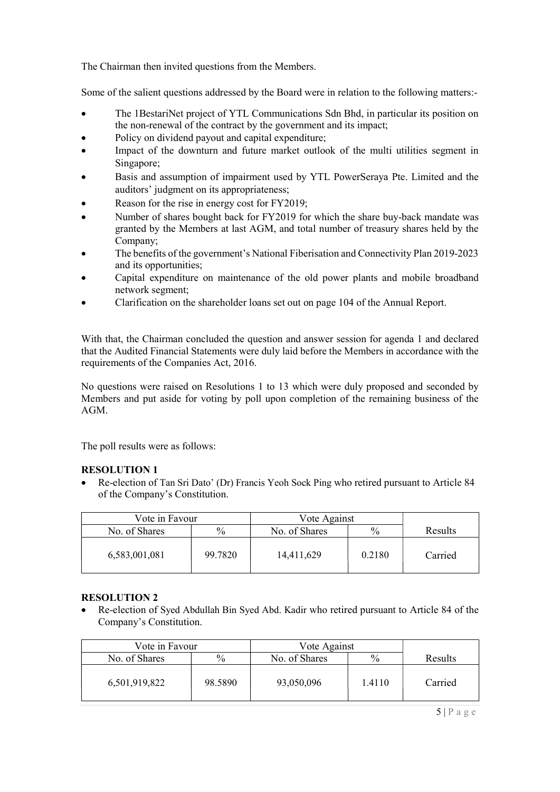The Chairman then invited questions from the Members.

Some of the salient questions addressed by the Board were in relation to the following matters:-

- The 1BestariNet project of YTL Communications Sdn Bhd, in particular its position on the non-renewal of the contract by the government and its impact;
- Policy on dividend payout and capital expenditure;
- Impact of the downturn and future market outlook of the multi utilities segment in Singapore;
- Basis and assumption of impairment used by YTL PowerSeraya Pte. Limited and the auditors' judgment on its appropriateness;
- Reason for the rise in energy cost for FY2019;
- Number of shares bought back for FY2019 for which the share buy-back mandate was granted by the Members at last AGM, and total number of treasury shares held by the Company;
- The benefits of the government's National Fiberisation and Connectivity Plan 2019-2023 and its opportunities;
- Capital expenditure on maintenance of the old power plants and mobile broadband network segment;
- Clarification on the shareholder loans set out on page 104 of the Annual Report.

With that, the Chairman concluded the question and answer session for agenda 1 and declared that the Audited Financial Statements were duly laid before the Members in accordance with the requirements of the Companies Act, 2016.

No questions were raised on Resolutions 1 to 13 which were duly proposed and seconded by Members and put aside for voting by poll upon completion of the remaining business of the AGM.

The poll results were as follows:

# RESOLUTION 1

 Re-election of Tan Sri Dato' (Dr) Francis Yeoh Sock Ping who retired pursuant to Article 84 of the Company's Constitution.

| Vote in Favour |         | Vote Against  |               |                |
|----------------|---------|---------------|---------------|----------------|
| No. of Shares  | $\%$    | No. of Shares | $\frac{0}{0}$ | <b>Results</b> |
| 6,583,001,081  | 99.7820 | 14,411,629    | 0.2180        | Carried        |

# RESOLUTION 2

 Re-election of Syed Abdullah Bin Syed Abd. Kadir who retired pursuant to Article 84 of the Company's Constitution.

|               | Vote in Favour<br>Vote Against |               |               |                |
|---------------|--------------------------------|---------------|---------------|----------------|
| No. of Shares | $\%$                           | No. of Shares | $\frac{0}{0}$ | <b>Results</b> |
| 6,501,919,822 | 98.5890                        | 93,050,096    | 1.4110        | Carried        |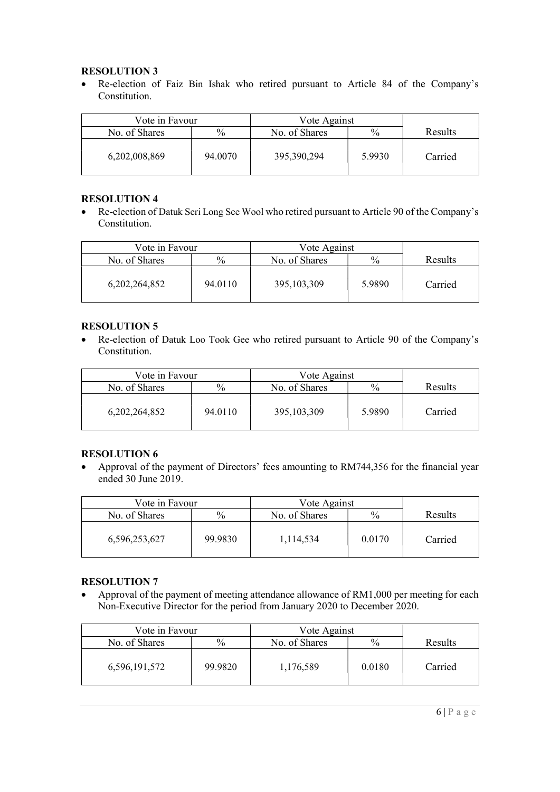## RESOLUTION 3

 Re-election of Faiz Bin Ishak who retired pursuant to Article 84 of the Company's Constitution.

| Vote in Favour |         | Vote Against  |               |                |
|----------------|---------|---------------|---------------|----------------|
| No. of Shares  | $\%$    | No. of Shares | $\frac{0}{0}$ | <b>Results</b> |
| 6,202,008,869  | 94.0070 | 395,390,294   | 5.9930        | Carried        |

# RESOLUTION 4

 Re-election of Datuk Seri Long See Wool who retired pursuant to Article 90 of the Company's Constitution.

| Vote in Favour   |               | Vote Against  |               |         |
|------------------|---------------|---------------|---------------|---------|
| No. of Shares    | $\frac{0}{0}$ | No. of Shares | $\frac{0}{0}$ | Results |
| 6, 202, 264, 852 | 94.0110       | 395, 103, 309 | 5.9890        | Carried |

# RESOLUTION 5

 Re-election of Datuk Loo Took Gee who retired pursuant to Article 90 of the Company's Constitution.

| Vote in Favour   |               |               | Vote Against  |                |
|------------------|---------------|---------------|---------------|----------------|
| No. of Shares    | $\frac{0}{0}$ | No. of Shares | $\frac{0}{0}$ | <b>Results</b> |
| 6, 202, 264, 852 | 94.0110       | 395, 103, 309 | 5.9890        | Carried        |

# RESOLUTION 6

 Approval of the payment of Directors' fees amounting to RM744,356 for the financial year ended 30 June 2019.

| Vote in Favour |         | Vote Against  |               |                |
|----------------|---------|---------------|---------------|----------------|
| No. of Shares  | $\%$    | No. of Shares | $\frac{0}{0}$ | <b>Results</b> |
| 6,596,253,627  | 99.9830 | 1,114,534     | 0.0170        | Carried        |

# RESOLUTION 7

 Approval of the payment of meeting attendance allowance of RM1,000 per meeting for each Non-Executive Director for the period from January 2020 to December 2020.

|               | Vote in Favour |               | Vote Against  |                |
|---------------|----------------|---------------|---------------|----------------|
| No. of Shares | $\%$           | No. of Shares | $\frac{0}{0}$ | <b>Results</b> |
| 6,596,191,572 | 99.9820        | 1,176,589     | 0.0180        | Carried        |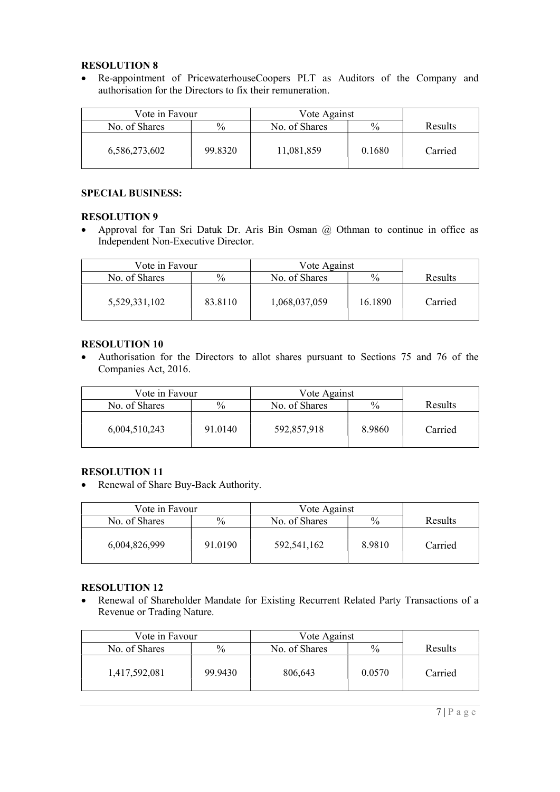# RESOLUTION 8

 Re-appointment of PricewaterhouseCoopers PLT as Auditors of the Company and authorisation for the Directors to fix their remuneration.

| Vote in Favour |               | Vote Against  |               |                |
|----------------|---------------|---------------|---------------|----------------|
| No. of Shares  | $\frac{0}{0}$ | No. of Shares | $\frac{0}{0}$ | <b>Results</b> |
| 6,586,273,602  | 99.8320       | 11,081,859    | 0.1680        | Carried        |

### SPECIAL BUSINESS:

# RESOLUTION 9

 Approval for Tan Sri Datuk Dr. Aris Bin Osman @ Othman to continue in office as Independent Non-Executive Director.

| Vote in Favour |         | Vote Against  |               |                |
|----------------|---------|---------------|---------------|----------------|
| No. of Shares  | $\%$    | No. of Shares | $\frac{0}{0}$ | <b>Results</b> |
| 5,529,331,102  | 83.8110 | 1,068,037,059 | 16.1890       | Carried        |

# RESOLUTION 10

 Authorisation for the Directors to allot shares pursuant to Sections 75 and 76 of the Companies Act, 2016.

| Vote in Favour |         | Vote Against  |               |                |
|----------------|---------|---------------|---------------|----------------|
| No. of Shares  | $\%$    | No. of Shares | $\frac{0}{0}$ | <b>Results</b> |
| 6,004,510,243  | 91.0140 | 592,857,918   | 8.9860        | Carried        |

# RESOLUTION 11

Renewal of Share Buy-Back Authority.

|               | Vote in Favour<br>Vote Against |               |               |                |
|---------------|--------------------------------|---------------|---------------|----------------|
| No. of Shares | $\%$                           | No. of Shares | $\frac{0}{0}$ | <b>Results</b> |
| 6,004,826,999 | 91.0190                        | 592,541,162   | 8.9810        | Carried        |

# RESOLUTION 12

 Renewal of Shareholder Mandate for Existing Recurrent Related Party Transactions of a Revenue or Trading Nature.

| Vote in Favour | Vote Against |               |               |                |
|----------------|--------------|---------------|---------------|----------------|
| No. of Shares  | $\%$         | No. of Shares | $\frac{0}{0}$ | <b>Results</b> |
| 1,417,592,081  | 99.9430      | 806,643       | 0.0570        | Carried        |